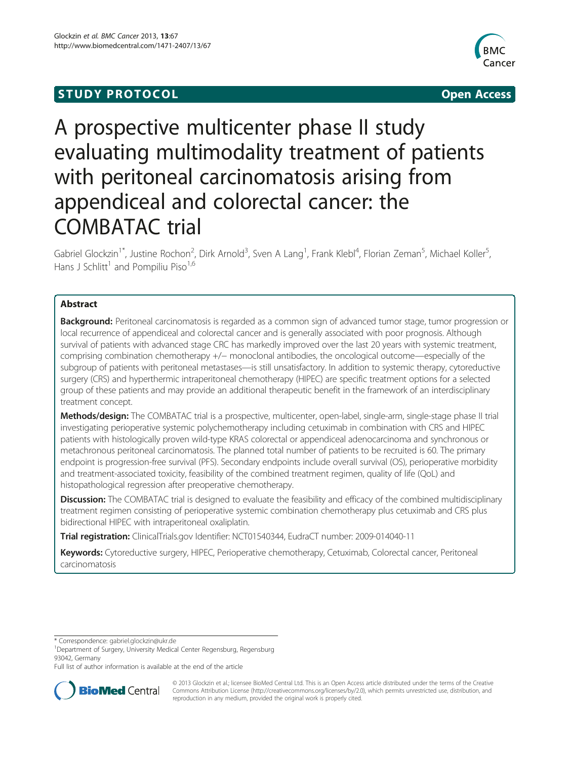# **STUDY PROTOCOL CONSUMING THE RESERVE ACCESS**



# A prospective multicenter phase II study evaluating multimodality treatment of patients with peritoneal carcinomatosis arising from appendiceal and colorectal cancer: the COMBATAC trial

Gabriel Glockzin<sup>1\*</sup>, Justine Rochon<sup>2</sup>, Dirk Arnold<sup>3</sup>, Sven A Lang<sup>1</sup>, Frank Klebl<sup>4</sup>, Florian Zeman<sup>5</sup>, Michael Koller<sup>5</sup> , Hans J Schlitt<sup>1</sup> and Pompiliu Piso<sup>1,6</sup>

# Abstract

Background: Peritoneal carcinomatosis is regarded as a common sign of advanced tumor stage, tumor progression or local recurrence of appendiceal and colorectal cancer and is generally associated with poor prognosis. Although survival of patients with advanced stage CRC has markedly improved over the last 20 years with systemic treatment, comprising combination chemotherapy +/− monoclonal antibodies, the oncological outcome—especially of the subgroup of patients with peritoneal metastases—is still unsatisfactory. In addition to systemic therapy, cytoreductive surgery (CRS) and hyperthermic intraperitoneal chemotherapy (HIPEC) are specific treatment options for a selected group of these patients and may provide an additional therapeutic benefit in the framework of an interdisciplinary treatment concept.

Methods/design: The COMBATAC trial is a prospective, multicenter, open-label, single-arm, single-stage phase II trial investigating perioperative systemic polychemotherapy including cetuximab in combination with CRS and HIPEC patients with histologically proven wild-type KRAS colorectal or appendiceal adenocarcinoma and synchronous or metachronous peritoneal carcinomatosis. The planned total number of patients to be recruited is 60. The primary endpoint is progression-free survival (PFS). Secondary endpoints include overall survival (OS), perioperative morbidity and treatment-associated toxicity, feasibility of the combined treatment regimen, quality of life (QoL) and histopathological regression after preoperative chemotherapy.

**Discussion:** The COMBATAC trial is designed to evaluate the feasibility and efficacy of the combined multidisciplinary treatment regimen consisting of perioperative systemic combination chemotherapy plus cetuximab and CRS plus bidirectional HIPEC with intraperitoneal oxaliplatin.

Trial registration: ClinicalTrials.gov Identifier: NCT01540344, EudraCT number: 2009-014040-11

Keywords: Cytoreductive surgery, HIPEC, Perioperative chemotherapy, Cetuximab, Colorectal cancer, Peritoneal carcinomatosis

\* Correspondence: [gabriel.glockzin@ukr.de](mailto:gabriel.glockzin@ukr.de) <sup>1</sup>

<sup>1</sup>Department of Surgery, University Medical Center Regensburg, Regensburg 93042, Germany

Full list of author information is available at the end of the article



© 2013 Glockzin et al.; licensee BioMed Central Ltd. This is an Open Access article distributed under the terms of the Creative Commons Attribution License [\(http://creativecommons.org/licenses/by/2.0\)](http://creativecommons.org/licenses/by/2.0), which permits unrestricted use, distribution, and reproduction in any medium, provided the original work is properly cited.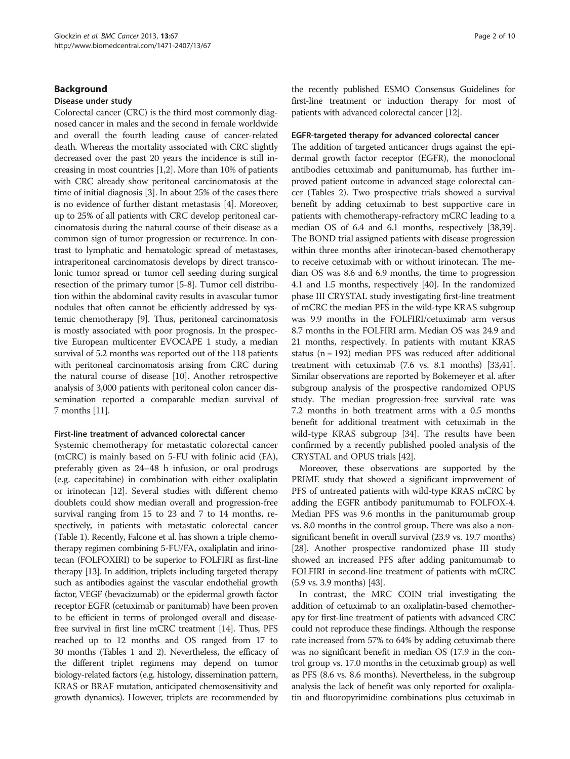# Background

#### Disease under study

Colorectal cancer (CRC) is the third most commonly diagnosed cancer in males and the second in female worldwide and overall the fourth leading cause of cancer-related death. Whereas the mortality associated with CRC slightly decreased over the past 20 years the incidence is still increasing in most countries [\[1,2\]](#page-7-0). More than 10% of patients with CRC already show peritoneal carcinomatosis at the time of initial diagnosis [\[3](#page-7-0)]. In about 25% of the cases there is no evidence of further distant metastasis [\[4\]](#page-7-0). Moreover, up to 25% of all patients with CRC develop peritoneal carcinomatosis during the natural course of their disease as a common sign of tumor progression or recurrence. In contrast to lymphatic and hematologic spread of metastases, intraperitoneal carcinomatosis develops by direct transcolonic tumor spread or tumor cell seeding during surgical resection of the primary tumor [[5](#page-7-0)-[8\]](#page-7-0). Tumor cell distribution within the abdominal cavity results in avascular tumor nodules that often cannot be efficiently addressed by systemic chemotherapy [[9](#page-7-0)]. Thus, peritoneal carcinomatosis is mostly associated with poor prognosis. In the prospective European multicenter EVOCAPE 1 study, a median survival of 5.2 months was reported out of the 118 patients with peritoneal carcinomatosis arising from CRC during the natural course of disease [\[10\]](#page-7-0). Another retrospective analysis of 3,000 patients with peritoneal colon cancer dissemination reported a comparable median survival of 7 months [\[11\]](#page-7-0).

## First-line treatment of advanced colorectal cancer

Systemic chemotherapy for metastatic colorectal cancer (mCRC) is mainly based on 5-FU with folinic acid (FA), preferably given as 24–48 h infusion, or oral prodrugs (e.g. capecitabine) in combination with either oxaliplatin or irinotecan [\[12\]](#page-7-0). Several studies with different chemo doublets could show median overall and progression-free survival ranging from 15 to 23 and 7 to 14 months, respectively, in patients with metastatic colorectal cancer (Table [1](#page-2-0)). Recently, Falcone et al. has shown a triple chemotherapy regimen combining 5-FU/FA, oxaliplatin and irinotecan (FOLFOXIRI) to be superior to FOLFIRI as first-line therapy [[13](#page-7-0)]. In addition, triplets including targeted therapy such as antibodies against the vascular endothelial growth factor, VEGF (bevacizumab) or the epidermal growth factor receptor EGFR (cetuximab or panitumab) have been proven to be efficient in terms of prolonged overall and diseasefree survival in first line mCRC treatment [\[14\]](#page-7-0). Thus, PFS reached up to 12 months and OS ranged from 17 to 30 months (Tables [1](#page-2-0) and [2](#page-2-0)). Nevertheless, the efficacy of the different triplet regimens may depend on tumor biology-related factors (e.g. histology, dissemination pattern, KRAS or BRAF mutation, anticipated chemosensitivity and growth dynamics). However, triplets are recommended by the recently published ESMO Consensus Guidelines for first-line treatment or induction therapy for most of patients with advanced colorectal cancer [\[12\]](#page-7-0).

#### EGFR-targeted therapy for advanced colorectal cancer

The addition of targeted anticancer drugs against the epidermal growth factor receptor (EGFR), the monoclonal antibodies cetuximab and panitumumab, has further improved patient outcome in advanced stage colorectal cancer (Tables [2\)](#page-2-0). Two prospective trials showed a survival benefit by adding cetuximab to best supportive care in patients with chemotherapy-refractory mCRC leading to a median OS of 6.4 and 6.1 months, respectively [\[38,39](#page-8-0)]. The BOND trial assigned patients with disease progression within three months after irinotecan-based chemotherapy to receive cetuximab with or without irinotecan. The median OS was 8.6 and 6.9 months, the time to progression 4.1 and 1.5 months, respectively [[40](#page-8-0)]. In the randomized phase III CRYSTAL study investigating first-line treatment of mCRC the median PFS in the wild-type KRAS subgroup was 9.9 months in the FOLFIRI/cetuximab arm versus 8.7 months in the FOLFIRI arm. Median OS was 24.9 and 21 months, respectively. In patients with mutant KRAS status (n = 192) median PFS was reduced after additional treatment with cetuximab (7.6 vs. 8.1 months) [\[33,41](#page-8-0)]. Similar observations are reported by Bokemeyer et al. after subgroup analysis of the prospective randomized OPUS study. The median progression-free survival rate was 7.2 months in both treatment arms with a 0.5 months benefit for additional treatment with cetuximab in the wild-type KRAS subgroup [\[34\]](#page-8-0). The results have been confirmed by a recently published pooled analysis of the CRYSTAL and OPUS trials [\[42](#page-8-0)].

Moreover, these observations are supported by the PRIME study that showed a significant improvement of PFS of untreated patients with wild-type KRAS mCRC by adding the EGFR antibody panitumumab to FOLFOX-4. Median PFS was 9.6 months in the panitumumab group vs. 8.0 months in the control group. There was also a nonsignificant benefit in overall survival (23.9 vs. 19.7 months) [[28](#page-8-0)]. Another prospective randomized phase III study showed an increased PFS after adding panitumumab to FOLFIRI in second-line treatment of patients with mCRC (5.9 vs. 3.9 months) [[43](#page-8-0)].

In contrast, the MRC COIN trial investigating the addition of cetuximab to an oxaliplatin-based chemotherapy for first-line treatment of patients with advanced CRC could not reproduce these findings. Although the response rate increased from 57% to 64% by adding cetuximab there was no significant benefit in median OS (17.9 in the control group vs. 17.0 months in the cetuximab group) as well as PFS (8.6 vs. 8.6 months). Nevertheless, in the subgroup analysis the lack of benefit was only reported for oxaliplatin and fluoropyrimidine combinations plus cetuximab in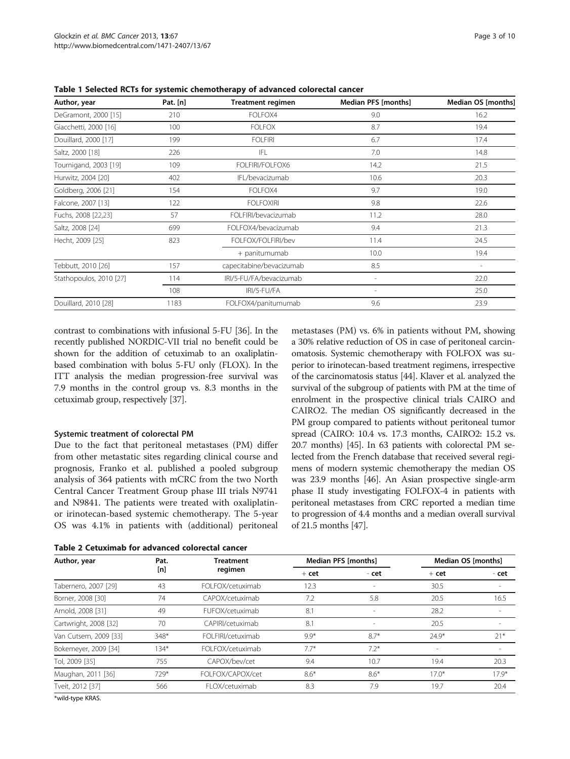| Author, year            | Pat. [n] | <b>Treatment regimen</b> | Median PFS [months]      | Median OS [months] |  |
|-------------------------|----------|--------------------------|--------------------------|--------------------|--|
| DeGramont, 2000 [15]    | 210      | FOLFOX4                  | 9.0                      | 16.2               |  |
| Giacchetti, 2000 [16]   | 100      | <b>FOLFOX</b>            | 8.7                      | 19.4               |  |
| Douillard, 2000 [17]    | 199      | <b>FOLFIRI</b>           | 6.7                      | 17.4               |  |
| Saltz, 2000 [18]        | 226      | IFL                      | 7.0                      | 14.8               |  |
| Tournigand, 2003 [19]   | 109      | FOLFIRI/FOLFOX6          | 14.2                     | 21.5               |  |
| Hurwitz, 2004 [20]      | 402      | IFL/bevacizumab          | 10.6                     | 20.3               |  |
| Goldberg, 2006 [21]     | 154      | FOLFOX4                  | 9.7                      | 19.0               |  |
| Falcone, 2007 [13]      | 122      | <b>FOLFOXIRI</b>         | 9.8                      | 22.6               |  |
| Fuchs, 2008 [22,23]     | 57       | FOLFIRI/bevacizumab      | 11.2                     | 28.0               |  |
| Saltz, 2008 [24]        | 699      | FOLFOX4/bevacizumab      | 9.4                      | 21.3               |  |
| Hecht, 2009 [25]        | 823      | FOLFOX/FOLFIRI/bev       | 11.4                     | 24.5               |  |
|                         |          | + panitumumab            | 10.0                     | 19.4               |  |
| Tebbutt, 2010 [26]      | 157      | capecitabine/bevacizumab | 8.5                      |                    |  |
| Stathopoulos, 2010 [27] | 114      | IRI/5-FU/FA/bevacizumab  | $\overline{a}$           | 22.0               |  |
|                         | 108      | IRI/5-FU/FA              | $\overline{\phantom{a}}$ | 25.0               |  |
| Douillard, 2010 [28]    | 1183     | FOLFOX4/panitumumab      | 9.6                      | 23.9               |  |
|                         |          |                          |                          |                    |  |

<span id="page-2-0"></span>Table 1 Selected RCTs for systemic chemotherapy of advanced colorectal cancer

contrast to combinations with infusional 5-FU [[36](#page-8-0)]. In the recently published NORDIC-VII trial no benefit could be shown for the addition of cetuximab to an oxaliplatinbased combination with bolus 5-FU only (FLOX). In the ITT analysis the median progression-free survival was 7.9 months in the control group vs. 8.3 months in the cetuximab group, respectively [\[37\]](#page-8-0).

## Systemic treatment of colorectal PM

Due to the fact that peritoneal metastases (PM) differ from other metastatic sites regarding clinical course and prognosis, Franko et al. published a pooled subgroup analysis of 364 patients with mCRC from the two North Central Cancer Treatment Group phase III trials N9741 and N9841. The patients were treated with oxaliplatinor irinotecan-based systemic chemotherapy. The 5-year OS was 4.1% in patients with (additional) peritoneal

| Table 2 Cetuximab for advanced colorectal cancer |  |  |  |  |
|--------------------------------------------------|--|--|--|--|
|--------------------------------------------------|--|--|--|--|

metastases (PM) vs. 6% in patients without PM, showing a 30% relative reduction of OS in case of peritoneal carcinomatosis. Systemic chemotherapy with FOLFOX was superior to irinotecan-based treatment regimens, irrespective of the carcinomatosis status [[44](#page-8-0)]. Klaver et al. analyzed the survival of the subgroup of patients with PM at the time of enrolment in the prospective clinical trials CAIRO and CAIRO2. The median OS significantly decreased in the PM group compared to patients without peritoneal tumor spread (CAIRO: 10.4 vs. 17.3 months, CAIRO2: 15.2 vs. 20.7 months) [\[45\]](#page-8-0). In 63 patients with colorectal PM selected from the French database that received several regimens of modern systemic chemotherapy the median OS was 23.9 months [\[46\]](#page-9-0). An Asian prospective single-arm phase II study investigating FOLFOX-4 in patients with peritoneal metastases from CRC reported a median time to progression of 4.4 months and a median overall survival of 21.5 months [\[47\]](#page-9-0).

| Author, year          | Pat.<br>[n] | <b>Treatment</b><br>regimen | <b>Median PFS [months]</b> |                          | Median OS [months]       |                          |
|-----------------------|-------------|-----------------------------|----------------------------|--------------------------|--------------------------|--------------------------|
|                       |             |                             | $+$ cet                    | - cet                    | $+$ cet                  | - cet                    |
| Tabernero, 2007 [29]  | 43          | FOLFOX/cetuximab            | 12.3                       |                          | 30.5                     |                          |
| Borner, 2008 [30]     | 74          | CAPOX/cetuximab             | 7.2                        | 5.8                      | 20.5                     | 16.5                     |
| Arnold, 2008 [31]     | 49          | FUFOX/cetuximab             | 8.1                        | $\overline{\phantom{a}}$ | 28.2                     | $\overline{\phantom{a}}$ |
| Cartwright, 2008 [32] | 70          | CAPIRI/cetuximab            | 8.1                        |                          | 20.5                     |                          |
| Van Cutsem, 2009 [33] | $348*$      | FOLFIRI/cetuximab           | $9.9*$                     | $8.7*$                   | $74.9*$                  | $21*$                    |
| Bokemeyer, 2009 [34]  | $34*$       | FOLFOX/cetuximab            | $7.7*$                     | $7.2*$                   | $\overline{\phantom{a}}$ | $\overline{\phantom{a}}$ |
| Tol, 2009 [35]        | 755         | CAPOX/bev/cet               | 9.4                        | 10.7                     | 19.4                     | 20.3                     |
| Maughan, 2011 [36]    | 729*        | FOLFOX/CAPOX/cet            | $8.6*$                     | $8.6*$                   | $17.0*$                  | $17.9*$                  |
| Tveit, 2012 [37]      | 566         | FLOX/cetuximab              | 8.3                        | 7.9                      | 19.7                     | 20.4                     |
|                       |             |                             |                            |                          |                          |                          |

\*wild-type KRAS.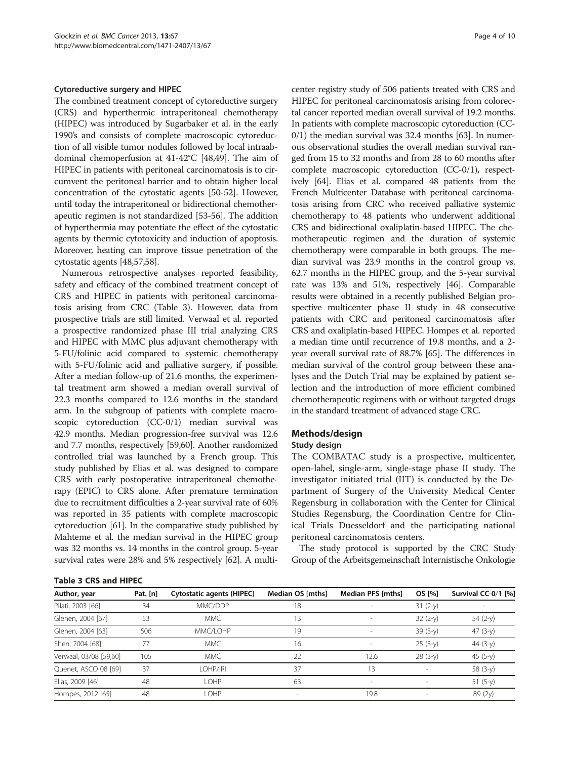#### Cytoreductive surgery and HIPEC

The combined treatment concept of cytoreductive surgery (CRS) and hyperthermic intraperitoneal chemotherapy (HIPEC) was introduced by Sugarbaker et al. in the early 1990's and consists of complete macroscopic cytoreduction of all visible tumor nodules followed by local intraabdominal chemoperfusion at 41-42°C [\[48,49](#page-9-0)]. The aim of HIPEC in patients with peritoneal carcinomatosis is to circumvent the peritoneal barrier and to obtain higher local concentration of the cytostatic agents [[50-52\]](#page-9-0). However, until today the intraperitoneal or bidirectional chemotherapeutic regimen is not standardized [\[53](#page-9-0)-[56](#page-9-0)]. The addition of hyperthermia may potentiate the effect of the cytostatic agents by thermic cytotoxicity and induction of apoptosis. Moreover, heating can improve tissue penetration of the cytostatic agents [\[48,57](#page-9-0),[58](#page-9-0)].

Numerous retrospective analyses reported feasibility, safety and efficacy of the combined treatment concept of CRS and HIPEC in patients with peritoneal carcinomatosis arising from CRC (Table 3). However, data from prospective trials are still limited. Verwaal et al. reported a prospective randomized phase III trial analyzing CRS and HIPEC with MMC plus adjuvant chemotherapy with 5-FU/folinic acid compared to systemic chemotherapy with 5-FU/folinic acid and palliative surgery, if possible. After a median follow-up of 21.6 months, the experimental treatment arm showed a median overall survival of 22.3 months compared to 12.6 months in the standard arm. In the subgroup of patients with complete macroscopic cytoreduction (CC-0/1) median survival was 42.9 months. Median progression-free survival was 12.6 and 7.7 months, respectively [\[59,60\]](#page-9-0). Another randomized controlled trial was launched by a French group. This study published by Elias et al. was designed to compare CRS with early postoperative intraperitoneal chemotherapy (EPIC) to CRS alone. After premature termination due to recruitment difficulties a 2-year survival rate of 60% was reported in 35 patients with complete macroscopic cytoreduction [[61](#page-9-0)]. In the comparative study published by Mahteme et al. the median survival in the HIPEC group was 32 months vs. 14 months in the control group. 5-year survival rates were 28% and 5% respectively [\[62\]](#page-9-0). A multi-

#### Table 3 CRS and HIPEC

center registry study of 506 patients treated with CRS and HIPEC for peritoneal carcinomatosis arising from colorectal cancer reported median overall survival of 19.2 months. In patients with complete macroscopic cytoreduction (CC-0/1) the median survival was 32.4 months [[63](#page-9-0)]. In numerous observational studies the overall median survival ranged from 15 to 32 months and from 28 to 60 months after complete macroscopic cytoreduction (CC-0/1), respectively [\[64\]](#page-9-0). Elias et al. compared 48 patients from the French Multicenter Database with peritoneal carcinomatosis arising from CRC who received palliative systemic chemotherapy to 48 patients who underwent additional CRS and bidirectional oxaliplatin-based HIPEC. The chemotherapeutic regimen and the duration of systemic chemotherapy were comparable in both groups. The median survival was 23.9 months in the control group vs. 62.7 months in the HIPEC group, and the 5-year survival rate was 13% and 51%, respectively [\[46\]](#page-9-0). Comparable results were obtained in a recently published Belgian prospective multicenter phase II study in 48 consecutive patients with CRC and peritoneal carcinomatosis after CRS and oxaliplatin-based HIPEC. Hompes et al. reported a median time until recurrence of 19.8 months, and a 2 year overall survival rate of 88.7% [\[65](#page-9-0)]. The differences in median survival of the control group between these analyses and the Dutch Trial may be explained by patient selection and the introduction of more efficient combined chemotherapeutic regimens with or without targeted drugs in the standard treatment of advanced stage CRC.

## Methods/design

#### Study design

The COMBATAC study is a prospective, multicenter, open-label, single-arm, single-stage phase II study. The investigator initiated trial (IIT) is conducted by the Department of Surgery of the University Medical Center Regensburg in collaboration with the Center for Clinical Studies Regensburg, the Coordination Centre for Clinical Trials Duesseldorf and the participating national peritoneal carcinomatosis centers.

The study protocol is supported by the CRC Study Group of the Arbeitsgemeinschaft Internistische Onkologie

| Author, year           | Pat. [n] | Cytostatic agents (HIPEC) | Median OS [mths] | Median PFS [mths]        | OS [%]    | Survival CC-0/1 [%] |
|------------------------|----------|---------------------------|------------------|--------------------------|-----------|---------------------|
| Pilati, 2003 [66]      | 34       | MMC/DDP                   | 18               |                          | $31(2-y)$ |                     |
| Glehen, 2004 [67]      | 53       | <b>MMC</b>                | 13               |                          | $32(2-y)$ | $54(2-y)$           |
| Glehen, 2004 [63]      | 506      | MMC/LOHP                  | 19               |                          | $39(3-y)$ | 47 $(3-y)$          |
| Shen, 2004 [68]        | 77       | <b>MMC</b>                | 16               |                          | $25(3-y)$ | 44 $(3-y)$          |
| Verwaal, 03/08 [59,60] | 105      | <b>MMC</b>                | 22               | 12.6                     | $28(3-y)$ | 45 $(5-y)$          |
| Quenet, ASCO 08 [69]   | 37       | LOHP/IRI                  | 37               | 13                       |           | 58 (3-y)            |
| Elias, 2009 [46]       | 48       | LOHP                      | 63               | $\overline{\phantom{a}}$ | $\sim$    | 51 $(5-y)$          |
| Hompes, 2012 [65]      | 48       | LOHP                      |                  | 19.8                     |           | 89 (2y)             |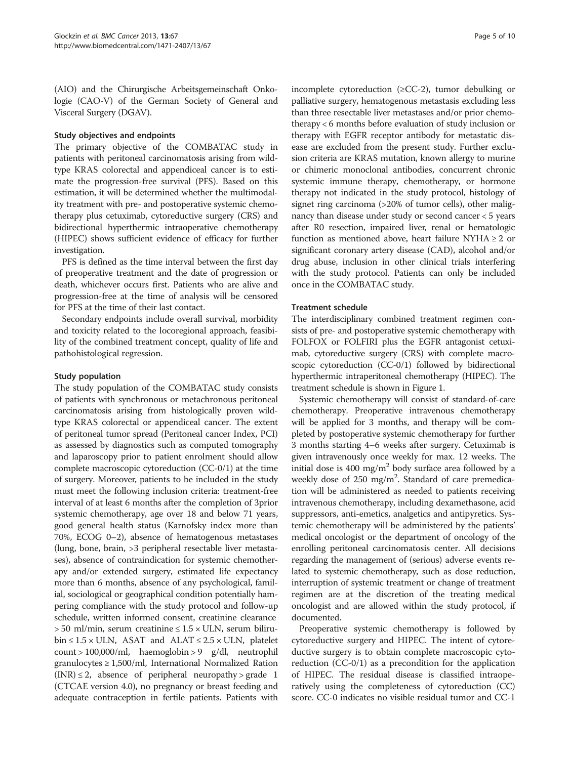(AIO) and the Chirurgische Arbeitsgemeinschaft Onkologie (CAO-V) of the German Society of General and Visceral Surgery (DGAV).

# Study objectives and endpoints

The primary objective of the COMBATAC study in patients with peritoneal carcinomatosis arising from wildtype KRAS colorectal and appendiceal cancer is to estimate the progression-free survival (PFS). Based on this estimation, it will be determined whether the multimodality treatment with pre- and postoperative systemic chemotherapy plus cetuximab, cytoreductive surgery (CRS) and bidirectional hyperthermic intraoperative chemotherapy (HIPEC) shows sufficient evidence of efficacy for further investigation.

PFS is defined as the time interval between the first day of preoperative treatment and the date of progression or death, whichever occurs first. Patients who are alive and progression-free at the time of analysis will be censored for PFS at the time of their last contact.

Secondary endpoints include overall survival, morbidity and toxicity related to the locoregional approach, feasibility of the combined treatment concept, quality of life and pathohistological regression.

# Study population

The study population of the COMBATAC study consists of patients with synchronous or metachronous peritoneal carcinomatosis arising from histologically proven wildtype KRAS colorectal or appendiceal cancer. The extent of peritoneal tumor spread (Peritoneal cancer Index, PCI) as assessed by diagnostics such as computed tomography and laparoscopy prior to patient enrolment should allow complete macroscopic cytoreduction (CC-0/1) at the time of surgery. Moreover, patients to be included in the study must meet the following inclusion criteria: treatment-free interval of at least 6 months after the completion of 3prior systemic chemotherapy, age over 18 and below 71 years, good general health status (Karnofsky index more than 70%, ECOG 0–2), absence of hematogenous metastases (lung, bone, brain, >3 peripheral resectable liver metastases), absence of contraindication for systemic chemotherapy and/or extended surgery, estimated life expectancy more than 6 months, absence of any psychological, familial, sociological or geographical condition potentially hampering compliance with the study protocol and follow-up schedule, written informed consent, creatinine clearance  $> 50$  ml/min, serum creatinine  $\leq 1.5 \times ULN$ , serum biliru $bin \leq 1.5 \times ULN$ , ASAT and ALAT  $\leq 2.5 \times ULN$ , platelet count > 100,000/ml, haemoglobin > 9 g/dl, neutrophil granulocytes  $\geq 1,500$ /ml, International Normalized Ration  $(INR) \leq 2$ , absence of peripheral neuropathy > grade 1 (CTCAE version 4.0), no pregnancy or breast feeding and adequate contraception in fertile patients. Patients with incomplete cytoreduction ( $\geq CC-2$ ), tumor debulking or palliative surgery, hematogenous metastasis excluding less than three resectable liver metastases and/or prior chemotherapy < 6 months before evaluation of study inclusion or therapy with EGFR receptor antibody for metastatic disease are excluded from the present study. Further exclusion criteria are KRAS mutation, known allergy to murine or chimeric monoclonal antibodies, concurrent chronic systemic immune therapy, chemotherapy, or hormone therapy not indicated in the study protocol, histology of signet ring carcinoma (>20% of tumor cells), other malignancy than disease under study or second cancer < 5 years after R0 resection, impaired liver, renal or hematologic function as mentioned above, heart failure NYHA  $\geq 2$  or significant coronary artery disease (CAD), alcohol and/or drug abuse, inclusion in other clinical trials interfering with the study protocol. Patients can only be included once in the COMBATAC study.

# Treatment schedule

The interdisciplinary combined treatment regimen consists of pre- and postoperative systemic chemotherapy with FOLFOX or FOLFIRI plus the EGFR antagonist cetuximab, cytoreductive surgery (CRS) with complete macroscopic cytoreduction (CC-0/1) followed by bidirectional hyperthermic intraperitoneal chemotherapy (HIPEC). The treatment schedule is shown in Figure [1](#page-5-0).

Systemic chemotherapy will consist of standard-of-care chemotherapy. Preoperative intravenous chemotherapy will be applied for 3 months, and therapy will be completed by postoperative systemic chemotherapy for further 3 months starting 4–6 weeks after surgery. Cetuximab is given intravenously once weekly for max. 12 weeks. The initial dose is 400 mg/m<sup>2</sup> body surface area followed by a weekly dose of 250 mg/m<sup>2</sup>. Standard of care premedication will be administered as needed to patients receiving intravenous chemotherapy, including dexamethasone, acid suppressors, anti-emetics, analgetics and antipyretics. Systemic chemotherapy will be administered by the patients' medical oncologist or the department of oncology of the enrolling peritoneal carcinomatosis center. All decisions regarding the management of (serious) adverse events related to systemic chemotherapy, such as dose reduction, interruption of systemic treatment or change of treatment regimen are at the discretion of the treating medical oncologist and are allowed within the study protocol, if documented.

Preoperative systemic chemotherapy is followed by cytoreductive surgery and HIPEC. The intent of cytoreductive surgery is to obtain complete macroscopic cytoreduction (CC-0/1) as a precondition for the application of HIPEC. The residual disease is classified intraoperatively using the completeness of cytoreduction (CC) score. CC-0 indicates no visible residual tumor and CC-1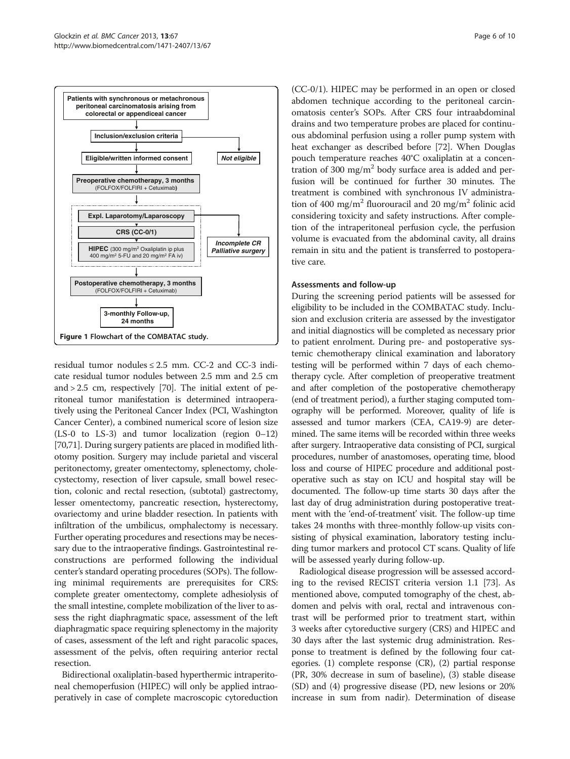

<span id="page-5-0"></span>

residual tumor nodules  $\leq 2.5$  mm. CC-2 and CC-3 indicate residual tumor nodules between 2.5 mm and 2.5 cm and > 2.5 cm, respectively [\[70\]](#page-9-0). The initial extent of peritoneal tumor manifestation is determined intraoperatively using the Peritoneal Cancer Index (PCI, Washington Cancer Center), a combined numerical score of lesion size (LS-0 to LS-3) and tumor localization (region 0–12) [[70,71\]](#page-9-0). During surgery patients are placed in modified lithotomy position. Surgery may include parietal and visceral peritonectomy, greater omentectomy, splenectomy, cholecystectomy, resection of liver capsule, small bowel resection, colonic and rectal resection, (subtotal) gastrectomy, lesser omentectomy, pancreatic resection, hysterectomy, ovariectomy and urine bladder resection. In patients with infiltration of the umbilicus, omphalectomy is necessary. Further operating procedures and resections may be necessary due to the intraoperative findings. Gastrointestinal reconstructions are performed following the individual center's standard operating procedures (SOPs). The following minimal requirements are prerequisites for CRS: complete greater omentectomy, complete adhesiolysis of the small intestine, complete mobilization of the liver to assess the right diaphragmatic space, assessment of the left diaphragmatic space requiring splenectomy in the majority of cases, assessment of the left and right paracolic spaces, assessment of the pelvis, often requiring anterior rectal resection.

Bidirectional oxaliplatin-based hyperthermic intraperitoneal chemoperfusion (HIPEC) will only be applied intraoperatively in case of complete macroscopic cytoreduction

(CC-0/1). HIPEC may be performed in an open or closed abdomen technique according to the peritoneal carcinomatosis center's SOPs. After CRS four intraabdominal drains and two temperature probes are placed for continuous abdominal perfusion using a roller pump system with heat exchanger as described before [\[72\]](#page-9-0). When Douglas pouch temperature reaches 40°C oxaliplatin at a concentration of 300 mg/m<sup>2</sup> body surface area is added and perfusion will be continued for further 30 minutes. The treatment is combined with synchronous IV administration of 400 mg/m<sup>2</sup> fluorouracil and 20 mg/m<sup>2</sup> folinic acid considering toxicity and safety instructions. After completion of the intraperitoneal perfusion cycle, the perfusion volume is evacuated from the abdominal cavity, all drains remain in situ and the patient is transferred to postoperative care.

# Assessments and follow-up

During the screening period patients will be assessed for eligibility to be included in the COMBATAC study. Inclusion and exclusion criteria are assessed by the investigator and initial diagnostics will be completed as necessary prior to patient enrolment. During pre- and postoperative systemic chemotherapy clinical examination and laboratory testing will be performed within 7 days of each chemotherapy cycle. After completion of preoperative treatment and after completion of the postoperative chemotherapy (end of treatment period), a further staging computed tomography will be performed. Moreover, quality of life is assessed and tumor markers (CEA, CA19-9) are determined. The same items will be recorded within three weeks after surgery. Intraoperative data consisting of PCI, surgical procedures, number of anastomoses, operating time, blood loss and course of HIPEC procedure and additional postoperative such as stay on ICU and hospital stay will be documented. The follow-up time starts 30 days after the last day of drug administration during postoperative treatment with the 'end-of-treatment' visit. The follow-up time takes 24 months with three-monthly follow-up visits consisting of physical examination, laboratory testing including tumor markers and protocol CT scans. Quality of life will be assessed yearly during follow-up.

Radiological disease progression will be assessed according to the revised RECIST criteria version 1.1 [\[73\]](#page-9-0). As mentioned above, computed tomography of the chest, abdomen and pelvis with oral, rectal and intravenous contrast will be performed prior to treatment start, within 3 weeks after cytoreductive surgery (CRS) and HIPEC and 30 days after the last systemic drug administration. Response to treatment is defined by the following four categories. (1) complete response (CR), (2) partial response (PR, 30% decrease in sum of baseline), (3) stable disease (SD) and (4) progressive disease (PD, new lesions or 20% increase in sum from nadir). Determination of disease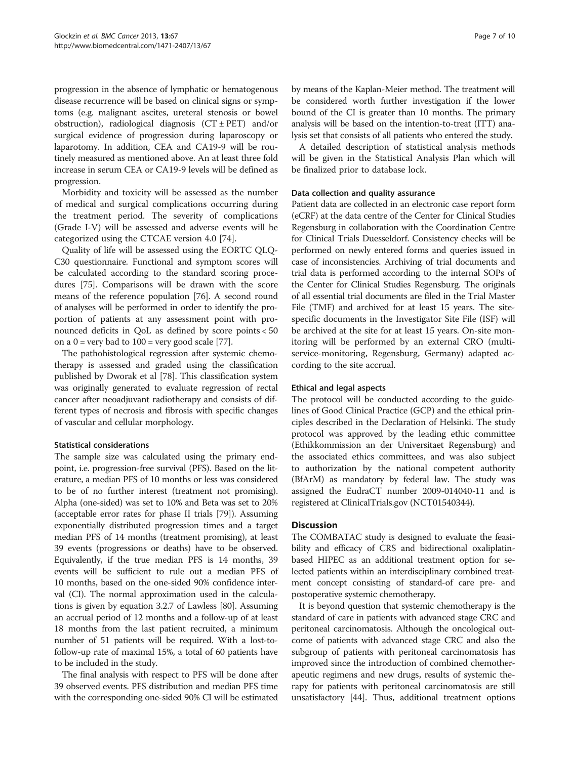progression in the absence of lymphatic or hematogenous disease recurrence will be based on clinical signs or symptoms (e.g. malignant ascites, ureteral stenosis or bowel obstruction), radiological diagnosis  $(CT \pm PET)$  and/or surgical evidence of progression during laparoscopy or laparotomy. In addition, CEA and CA19-9 will be routinely measured as mentioned above. An at least three fold increase in serum CEA or CA19-9 levels will be defined as progression.

Morbidity and toxicity will be assessed as the number of medical and surgical complications occurring during the treatment period. The severity of complications (Grade I-V) will be assessed and adverse events will be categorized using the CTCAE version 4.0 [\[74](#page-9-0)].

Quality of life will be assessed using the EORTC QLQ-C30 questionnaire. Functional and symptom scores will be calculated according to the standard scoring procedures [[75\]](#page-9-0). Comparisons will be drawn with the score means of the reference population [\[76\]](#page-9-0). A second round of analyses will be performed in order to identify the proportion of patients at any assessment point with pronounced deficits in QoL as defined by score points < 50 on a  $0 = \text{very bad to } 100 = \text{very good scale } [77]$  $0 = \text{very bad to } 100 = \text{very good scale } [77]$  $0 = \text{very bad to } 100 = \text{very good scale } [77]$ .

The pathohistological regression after systemic chemotherapy is assessed and graded using the classification published by Dworak et al [\[78\]](#page-9-0). This classification system was originally generated to evaluate regression of rectal cancer after neoadjuvant radiotherapy and consists of different types of necrosis and fibrosis with specific changes of vascular and cellular morphology.

# Statistical considerations

The sample size was calculated using the primary endpoint, i.e. progression-free survival (PFS). Based on the literature, a median PFS of 10 months or less was considered to be of no further interest (treatment not promising). Alpha (one-sided) was set to 10% and Beta was set to 20% (acceptable error rates for phase II trials [\[79\]](#page-9-0)). Assuming exponentially distributed progression times and a target median PFS of 14 months (treatment promising), at least 39 events (progressions or deaths) have to be observed. Equivalently, if the true median PFS is 14 months, 39 events will be sufficient to rule out a median PFS of 10 months, based on the one-sided 90% confidence interval (CI). The normal approximation used in the calculations is given by equation 3.2.7 of Lawless [[80](#page-9-0)]. Assuming an accrual period of 12 months and a follow-up of at least 18 months from the last patient recruited, a minimum number of 51 patients will be required. With a lost-tofollow-up rate of maximal 15%, a total of 60 patients have to be included in the study.

The final analysis with respect to PFS will be done after 39 observed events. PFS distribution and median PFS time with the corresponding one-sided 90% CI will be estimated

by means of the Kaplan-Meier method. The treatment will be considered worth further investigation if the lower bound of the CI is greater than 10 months. The primary analysis will be based on the intention-to-treat (ITT) analysis set that consists of all patients who entered the study.

A detailed description of statistical analysis methods will be given in the Statistical Analysis Plan which will be finalized prior to database lock.

# Data collection and quality assurance

Patient data are collected in an electronic case report form (eCRF) at the data centre of the Center for Clinical Studies Regensburg in collaboration with the Coordination Centre for Clinical Trials Duesseldorf. Consistency checks will be performed on newly entered forms and queries issued in case of inconsistencies. Archiving of trial documents and trial data is performed according to the internal SOPs of the Center for Clinical Studies Regensburg. The originals of all essential trial documents are filed in the Trial Master File (TMF) and archived for at least 15 years. The sitespecific documents in the Investigator Site File (ISF) will be archived at the site for at least 15 years. On-site monitoring will be performed by an external CRO (multiservice-monitoring, Regensburg, Germany) adapted according to the site accrual.

## Ethical and legal aspects

The protocol will be conducted according to the guidelines of Good Clinical Practice (GCP) and the ethical principles described in the Declaration of Helsinki. The study protocol was approved by the leading ethic committee (Ethikkommission an der Universitaet Regensburg) and the associated ethics committees, and was also subject to authorization by the national competent authority (BfArM) as mandatory by federal law. The study was assigned the EudraCT number 2009-014040-11 and is registered at ClinicalTrials.gov (NCT01540344).

# **Discussion**

The COMBATAC study is designed to evaluate the feasibility and efficacy of CRS and bidirectional oxaliplatinbased HIPEC as an additional treatment option for selected patients within an interdisciplinary combined treatment concept consisting of standard-of care pre- and postoperative systemic chemotherapy.

It is beyond question that systemic chemotherapy is the standard of care in patients with advanced stage CRC and peritoneal carcinomatosis. Although the oncological outcome of patients with advanced stage CRC and also the subgroup of patients with peritoneal carcinomatosis has improved since the introduction of combined chemotherapeutic regimens and new drugs, results of systemic therapy for patients with peritoneal carcinomatosis are still unsatisfactory [[44](#page-8-0)]. Thus, additional treatment options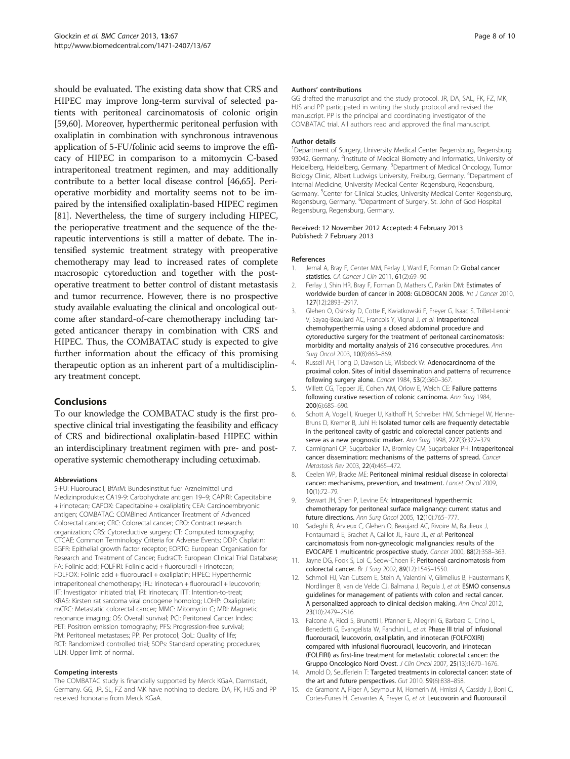<span id="page-7-0"></span>should be evaluated. The existing data show that CRS and HIPEC may improve long-term survival of selected patients with peritoneal carcinomatosis of colonic origin [[59,60](#page-9-0)]. Moreover, hyperthermic peritoneal perfusion with oxaliplatin in combination with synchronous intravenous application of 5-FU/folinic acid seems to improve the efficacy of HIPEC in comparison to a mitomycin C-based intraperitoneal treatment regimen, and may additionally contribute to a better local disease control [[46,65\]](#page-9-0). Perioperative morbidity and mortality seems not to be impaired by the intensified oxaliplatin-based HIPEC regimen [[81](#page-9-0)]. Nevertheless, the time of surgery including HIPEC, the perioperative treatment and the sequence of the therapeutic interventions is still a matter of debate. The intensified systemic treatment strategy with preoperative chemotherapy may lead to increased rates of complete macrosopic cytoreduction and together with the postoperative treatment to better control of distant metastasis and tumor recurrence. However, there is no prospective study available evaluating the clinical and oncological outcome after standard-of-care chemotherapy including targeted anticancer therapy in combination with CRS and HIPEC. Thus, the COMBATAC study is expected to give further information about the efficacy of this promising therapeutic option as an inherent part of a multidisciplinary treatment concept.

# Conclusions

To our knowledge the COMBATAC study is the first prospective clinical trial investigating the feasibility and efficacy of CRS and bidirectional oxaliplatin-based HIPEC within an interdisciplinary treatment regimen with pre- and postoperative systemic chemotherapy including cetuximab.

#### Abbreviations

5-FU: Fluorouracil; BfArM: Bundesinstitut fuer Arzneimittel und Medizinprodukte; CA19-9: Carbohydrate antigen 19–9; CAPIRI: Capecitabine + irinotecan; CAPOX: Capecitabine + oxaliplatin; CEA: Carcinoembryonic antigen; COMBATAC: COMBined Anticancer Treatment of Advanced Colorectal cancer; CRC: Colorectal cancer; CRO: Contract research organization; CRS: Cytoreductive surgery; CT: Computed tomography; CTCAE: Common Terminology Criteria for Adverse Events; DDP: Cisplatin; EGFR: Epithelial growth factor receptor; EORTC: European Organisation for Research and Treatment of Cancer; EudraCT: European Clinical Trial Database; FA: Folinic acid; FOLFIRI: Folinic acid + fluorouracil + irinotecan; FOLFOX: Folinic acid + fluorouracil + oxaliplatin; HIPEC: Hyperthermic intraperitoneal chemotherapy; IFL: Irinotecan + fluorouracil + leucovorin; IIT: Investigator initiated trial; IRI: Irinotecan; ITT: Intention-to-treat; KRAS: Kirsten rat sarcoma viral oncogene homolog; LOHP: Oxaliplatin; mCRC: Metastatic colorectal cancer; MMC: Mitomycin C; MRI: Magnetic resonance imaging; OS: Overall survival; PCI: Peritoneal Cancer Index; PET: Positron emission tomography; PFS: Progression-free survival; PM: Peritoneal metastases; PP: Per protocol; QoL: Quality of life; RCT: Randomized controlled trial; SOPs: Standard operating procedures; ULN: Upper limit of normal.

#### Competing interests

The COMBATAC study is financially supported by Merck KGaA, Darmstadt, Germany. GG, JR, SL, FZ and MK have nothing to declare. DA, FK, HJS and PP received honoraria from Merck KGaA.

#### Authors' contributions

GG drafted the manuscript and the study protocol. JR, DA, SAL, FK, FZ, MK, HJS and PP participated in writing the study protocol and revised the manuscript. PP is the principal and coordinating investigator of the COMBATAC trial. All authors read and approved the final manuscript.

#### Author details

<sup>1</sup>Department of Surgery, University Medical Center Regensburg, Regensburg 93042, Germany. <sup>2</sup>Institute of Medical Biometry and Informatics, University of Heidelberg, Heidelberg, Germany. <sup>3</sup>Department of Medical Oncology, Tumor Biology Clinic, Albert Ludwigs University, Freiburg, Germany. <sup>4</sup>Department of Internal Medicine, University Medical Center Regensburg, Regensburg, Germany.<sup>5</sup> Center for Clinical Studies, University Medical Center Regensburg, Regensburg, Germany. <sup>6</sup>Department of Surgery, St. John of God Hospital Regensburg, Regensburg, Germany.

#### Received: 12 November 2012 Accepted: 4 February 2013 Published: 7 February 2013

#### References

- 1. Jemal A, Bray F, Center MM, Ferlay J, Ward E, Forman D: Global cancer statistics. CA Cancer J Clin 2011, 61(2):69-90.
- 2. Ferlay J, Shin HR, Bray F, Forman D, Mathers C, Parkin DM: Estimates of worldwide burden of cancer in 2008: GLOBOCAN 2008. Int J Cancer 2010, 127(12):2893–2917.
- 3. Glehen O, Osinsky D, Cotte E, Kwiatkowski F, Freyer G, Isaac S, Trillet-Lenoir V, Sayag-Beaujard AC, Francois Y, Vignal J, et al: Intraperitoneal chemohyperthermia using a closed abdominal procedure and cytoreductive surgery for the treatment of peritoneal carcinomatosis: morbidity and mortality analysis of 216 consecutive procedures. Ann Surg Oncol 2003, 10(8):863–869.
- 4. Russell AH, Tong D, Dawson LE, Wisbeck W: Adenocarcinoma of the proximal colon. Sites of initial dissemination and patterns of recurrence following surgery alone. Cancer 1984, 53(2):360–367.
- 5. Willett CG, Tepper JE, Cohen AM, Orlow E, Welch CE: Failure patterns following curative resection of colonic carcinoma. Ann Surg 1984, 200(6):685–690.
- 6. Schott A, Vogel I, Krueger U, Kalthoff H, Schreiber HW, Schmiegel W, Henne-Bruns D, Kremer B, Juhl H: Isolated tumor cells are frequently detectable in the peritoneal cavity of gastric and colorectal cancer patients and serve as a new prognostic marker. Ann Surg 1998, 227(3):372–379.
- 7. Carmignani CP, Sugarbaker TA, Bromley CM, Sugarbaker PH: Intraperitoneal cancer dissemination: mechanisms of the patterns of spread. Cancer Metastasis Rev 2003, 22(4):465–472.
- 8. Ceelen WP, Bracke ME: Peritoneal minimal residual disease in colorectal cancer: mechanisms, prevention, and treatment. Lancet Oncol 2009, 10(1):72–79.
- 9. Stewart JH, Shen P, Levine EA: Intraperitoneal hyperthermic chemotherapy for peritoneal surface malignancy: current status and future directions. Ann Surg Oncol 2005, 12(10):765–777.
- 10. Sadeghi B, Arvieux C, Glehen O, Beaujard AC, Rivoire M, Baulieux J, Fontaumard E, Brachet A, Caillot JL, Faure JL, et al: Peritoneal carcinomatosis from non-gynecologic malignancies: results of the EVOCAPE 1 multicentric prospective study. Cancer 2000, 88(2):358–363.
- 11. Jayne DG, Fook S, Loi C, Seow-Choen F: Peritoneal carcinomatosis from colorectal cancer. Br J Surg 2002, 89(12):1545–1550.
- 12. Schmoll HJ, Van Cutsem E, Stein A, Valentini V, Glimelius B, Haustermans K, Nordlinger B, van de Velde CJ, Balmana J, Regula J, et al: ESMO consensus guidelines for management of patients with colon and rectal cancer. A personalized approach to clinical decision making. Ann Oncol 2012, 23(10):2479–2516.
- 13. Falcone A, Ricci S, Brunetti I, Pfanner E, Allegrini G, Barbara C, Crino L, Benedetti G, Evangelista W, Fanchini L, et al: Phase III trial of infusional fluorouracil, leucovorin, oxaliplatin, and irinotecan (FOLFOXIRI) compared with infusional fluorouracil, leucovorin, and irinotecan (FOLFIRI) as first-line treatment for metastatic colorectal cancer: the Gruppo Oncologico Nord Ovest. J Clin Oncol 2007, 25(13):1670–1676.
- 14. Arnold D, Seufferlein T: Targeted treatments in colorectal cancer: state of the art and future perspectives. Gut 2010, 59(6):838–858.
- 15. de Gramont A, Figer A, Seymour M, Homerin M, Hmissi A, Cassidy J, Boni C, Cortes-Funes H, Cervantes A, Freyer G, et al: Leucovorin and fluorouracil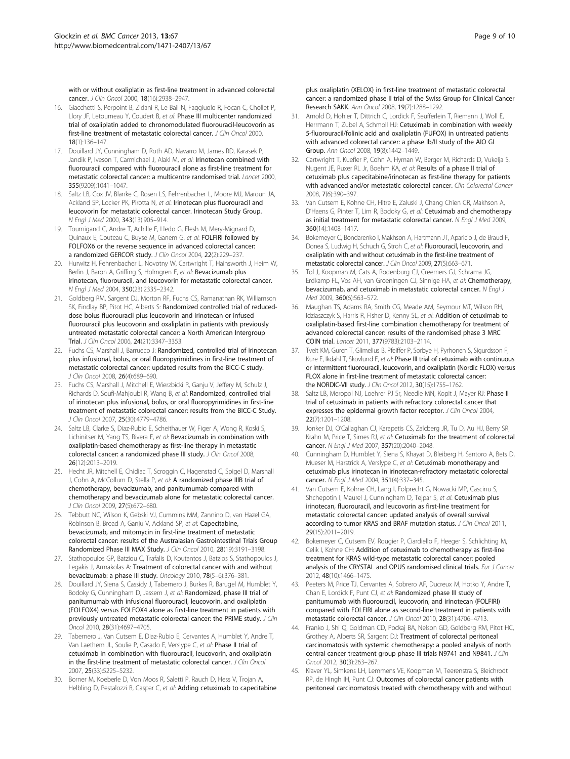<span id="page-8-0"></span>with or without oxaliplatin as first-line treatment in advanced colorectal cancer. J Clin Oncol 2000, 18(16):2938–2947.

- 16. Giacchetti S, Perpoint B, Zidani R, Le Bail N, Faggiuolo R, Focan C, Chollet P, Llory JF, Letourneau Y, Coudert B, et al: Phase III multicenter randomized trial of oxaliplatin added to chronomodulated fluorouracil-leucovorin as first-line treatment of metastatic colorectal cancer. J Clin Oncol 2000, 18(1):136–147.
- 17. Douillard JY, Cunningham D, Roth AD, Navarro M, James RD, Karasek P, Jandik P, Iveson T, Carmichael J, Alakl M, et al: Irinotecan combined with fluorouracil compared with fluorouracil alone as first-line treatment for metastatic colorectal cancer: a multicentre randomised trial. Lancet 2000, 355(9209):1041–1047.
- 18. Saltz LB, Cox JV, Blanke C, Rosen LS, Fehrenbacher L, Moore MJ, Maroun JA, Ackland SP, Locker PK, Pirotta N, et al: Irinotecan plus fluorouracil and leucovorin for metastatic colorectal cancer. Irinotecan Study Group. N Engl J Med 2000, 343(13):905–914.
- 19. Tournigand C, Andre T, Achille E, Lledo G, Flesh M, Mery-Mignard D, Quinaux E, Couteau C, Buyse M, Ganem G, et al: FOLFIRI followed by FOLFOX6 or the reverse sequence in advanced colorectal cancer: a randomized GERCOR study. J Clin Oncol 2004, 22(2):229–237.
- 20. Hurwitz H, Fehrenbacher L, Novotny W, Cartwright T, Hainsworth J, Heim W, Berlin J, Baron A, Griffing S, Holmgren E, et al: Bevacizumab plus irinotecan, fluorouracil, and leucovorin for metastatic colorectal cancer. N Engl J Med 2004, 350(23):2335–2342.
- 21. Goldberg RM, Sargent DJ, Morton RF, Fuchs CS, Ramanathan RK, Williamson SK, Findlay BP, Pitot HC, Alberts S: Randomized controlled trial of reduceddose bolus fluorouracil plus leucovorin and irinotecan or infused fluorouracil plus leucovorin and oxaliplatin in patients with previously untreated metastatic colorectal cancer: a North American Intergroup Trial. J Clin Oncol 2006, 24(21):3347–3353.
- 22. Fuchs CS, Marshall J, Barrueco J: Randomized, controlled trial of irinotecan plus infusional, bolus, or oral fluoropyrimidines in first-line treatment of metastatic colorectal cancer: updated results from the BICC-C study. J Clin Oncol 2008, 26(4):689–690.
- 23. Fuchs CS, Marshall J, Mitchell E, Wierzbicki R, Ganju V, Jeffery M, Schulz J, Richards D, Soufi-Mahjoubi R, Wang B, et al: Randomized, controlled trial of irinotecan plus infusional, bolus, or oral fluoropyrimidines in first-line treatment of metastatic colorectal cancer: results from the BICC-C Study. J Clin Oncol 2007, 25(30):4779–4786.
- 24. Saltz LB, Clarke S, Diaz-Rubio E, Scheithauer W, Figer A, Wong R, Koski S, Lichinitser M, Yang TS, Rivera F, et al: Bevacizumab in combination with oxaliplatin-based chemotherapy as first-line therapy in metastatic colorectal cancer: a randomized phase III study. J Clin Oncol 2008, 26(12):2013–2019.
- 25. Hecht JR, Mitchell E, Chidiac T, Scroggin C, Hagenstad C, Spigel D, Marshall J, Cohn A, McCollum D, Stella P, et al: A randomized phase IIIB trial of chemotherapy, bevacizumab, and panitumumab compared with chemotherapy and bevacizumab alone for metastatic colorectal cancer. J Clin Oncol 2009, 27(5):672–680.
- 26. Tebbutt NC, Wilson K, Gebski VJ, Cummins MM, Zannino D, van Hazel GA, Robinson B, Broad A, Ganju V, Ackland SP, et al: Capecitabine, bevacizumab, and mitomycin in first-line treatment of metastatic colorectal cancer: results of the Australasian Gastrointestinal Trials Group Randomized Phase III MAX Study. J Clin Oncol 2010, 28(19):3191-3198.
- 27. Stathopoulos GP, Batziou C, Trafalis D, Koutantos J, Batzios S, Stathopoulos J, Legakis J, Armakolas A: Treatment of colorectal cancer with and without bevacizumab: a phase III study. Oncology 2010, 78(5–6):376–381.
- 28. Douillard JY, Siena S, Cassidy J, Tabernero J, Burkes R, Barugel M, Humblet Y, Bodoky G, Cunningham D, Jassem J, et al: Randomized, phase III trial of panitumumab with infusional fluorouracil, leucovorin, and oxaliplatin (FOLFOX4) versus FOLFOX4 alone as first-line treatment in patients with previously untreated metastatic colorectal cancer: the PRIME study. J Clin Oncol 2010, 28(31):4697–4705.
- 29. Tabernero J, Van Cutsem E, Diaz-Rubio E, Cervantes A, Humblet Y, Andre T, Van Laethem JL, Soulie P, Casado E, Verslype C, et al: Phase II trial of cetuximab in combination with fluorouracil, leucovorin, and oxaliplatin in the first-line treatment of metastatic colorectal cancer. J Clin Oncol 2007, 25(33):5225–5232.
- 30. Borner M, Koeberle D, Von Moos R, Saletti P, Rauch D, Hess V, Trojan A, Helbling D, Pestalozzi B, Caspar C, et al: Adding cetuximab to capecitabine

plus oxaliplatin (XELOX) in first-line treatment of metastatic colorectal cancer: a randomized phase II trial of the Swiss Group for Clinical Cancer Research SAKK. Ann Oncol 2008, 19(7):1288–1292.

- 31. Arnold D, Hohler T, Dittrich C, Lordick F, Seufferlein T, Riemann J, Woll E, Herrmann T, Zubel A, Schmoll HJ: Cetuximab in combination with weekly 5-fluorouracil/folinic acid and oxaliplatin (FUFOX) in untreated patients with advanced colorectal cancer: a phase Ib/II study of the AIO GI Group. Ann Oncol 2008, 19(8):1442–1449.
- 32. Cartwright T, Kuefler P, Cohn A, Hyman W, Berger M, Richards D, Vukelja S, Nugent JE, Ruxer RL Jr, Boehm KA, et al: Results of a phase II trial of cetuximab plus capecitabine/irinotecan as first-line therapy for patients with advanced and/or metastatic colorectal cancer. Clin Colorectal Cancer 2008, 7(6):390–397.
- 33. Van Cutsem E, Kohne CH, Hitre E, Zaluski J, Chang Chien CR, Makhson A, D'Haens G, Pinter T, Lim R, Bodoky G, et al: Cetuximab and chemotherapy as initial treatment for metastatic colorectal cancer. N Engl J Med 2009, 360(14):1408–1417.
- 34. Bokemeyer C, Bondarenko I, Makhson A, Hartmann JT, Aparicio J, de Braud F, Donea S, Ludwig H, Schuch G, Stroh C, et al: Fluorouracil, leucovorin, and oxaliplatin with and without cetuximab in the first-line treatment of metastatic colorectal cancer. J Clin Oncol 2009, 27(5):663–671.
- 35. Tol J, Koopman M, Cats A, Rodenburg CJ, Creemers GJ, Schrama JG, Erdkamp FL, Vos AH, van Groeningen CJ, Sinnige HA, et al: Chemotherapy, bevacizumab, and cetuximab in metastatic colorectal cancer. N Engl J Med 2009, 360(6):563–572.
- 36. Maughan TS, Adams RA, Smith CG, Meade AM, Seymour MT, Wilson RH, Idziaszczyk S, Harris R, Fisher D, Kenny SL, et al: Addition of cetuximab to oxaliplatin-based first-line combination chemotherapy for treatment of advanced colorectal cancer: results of the randomised phase 3 MRC COIN trial. Lancet 2011, 377(9783):2103–2114.
- 37. Tveit KM, Guren T, Glimelius B, Pfeiffer P, Sorbye H, Pyrhonen S, Sigurdsson F, Kure E, Ikdahl T, Skovlund E, et al: Phase III trial of cetuximab with continuous or intermittent fluorouracil, leucovorin, and oxaliplatin (Nordic FLOX) versus FLOX alone in first-line treatment of metastatic colorectal cancer: the NORDIC-VII study. J Clin Oncol 2012, 30(15):1755–1762.
- Saltz LB, Meropol NJ, Loehrer PJ Sr, Needle MN, Kopit J, Mayer RJ: Phase II trial of cetuximab in patients with refractory colorectal cancer that expresses the epidermal growth factor receptor. J Clin Oncol 2004, 22(7):1201–1208.
- 39. Jonker DJ, O'Callaghan CJ, Karapetis CS, Zalcberg JR, Tu D, Au HJ, Berry SR, Krahn M, Price T, Simes RJ, et al: Cetuximab for the treatment of colorectal cancer. N Engl J Med 2007, 357(20):2040–2048.
- 40. Cunningham D, Humblet Y, Siena S, Khayat D, Bleiberg H, Santoro A, Bets D, Mueser M, Harstrick A, Verslype C, et al: Cetuximab monotherapy and cetuximab plus irinotecan in irinotecan-refractory metastatic colorectal cancer. N Engl J Med 2004, 351(4):337–345.
- 41. Van Cutsem E, Kohne CH, Lang I, Folprecht G, Nowacki MP, Cascinu S, Shchepotin I, Maurel J, Cunningham D, Tejpar S, et al: Cetuximab plus irinotecan, fluorouracil, and leucovorin as first-line treatment for metastatic colorectal cancer: updated analysis of overall survival according to tumor KRAS and BRAF mutation status. J Clin Oncol 2011, 29(15):2011–2019.
- 42. Bokemeyer C, Cutsem EV, Rougier P, Ciardiello F, Heeger S, Schlichting M, Celik I, Kohne CH: Addition of cetuximab to chemotherapy as first-line treatment for KRAS wild-type metastatic colorectal cancer: pooled analysis of the CRYSTAL and OPUS randomised clinical trials. Eur J Cancer 2012, 48(10):1466–1475.
- 43. Peeters M, Price TJ, Cervantes A, Sobrero AF, Ducreux M, Hotko Y, Andre T, Chan E, Lordick F, Punt CJ, et al: Randomized phase III study of panitumumab with fluorouracil, leucovorin, and irinotecan (FOLFIRI) compared with FOLFIRI alone as second-line treatment in patients with metastatic colorectal cancer. J Clin Oncol 2010, 28(31):4706–4713.
- 44. Franko J, Shi Q, Goldman CD, Pockaj BA, Nelson GD, Goldberg RM, Pitot HC, Grothey A, Alberts SR, Sargent DJ: Treatment of colorectal peritoneal carcinomatosis with systemic chemotherapy: a pooled analysis of north central cancer treatment group phase III trials N9741 and N9841. J Clin Oncol 2012, 30(3):263–267.
- 45. Klaver YL, Simkens LH, Lemmens VE, Koopman M, Teerenstra S, Bleichrodt RP, de Hingh IH, Punt CJ: Outcomes of colorectal cancer patients with peritoneal carcinomatosis treated with chemotherapy with and without